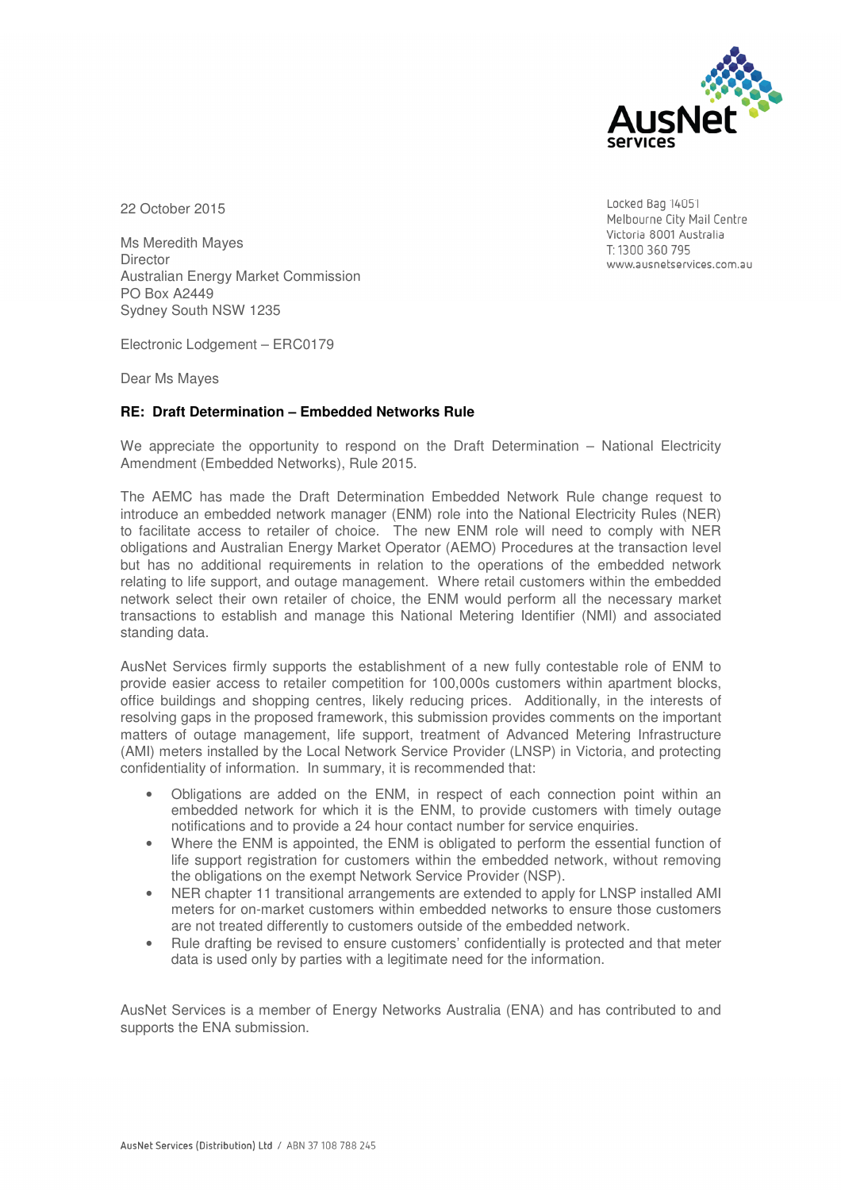

22 October 2015

Ms Meredith Mayes **Director** Australian Energy Market Commission PO Box A2449 Sydney South NSW 1235

Electronic Lodgement – ERC0179

Dear Ms Mayes

#### **RE: Draft Determination – Embedded Networks Rule**

We appreciate the opportunity to respond on the Draft Determination – National Electricity Amendment (Embedded Networks), Rule 2015.

The AEMC has made the Draft Determination Embedded Network Rule change request to introduce an embedded network manager (ENM) role into the National Electricity Rules (NER) to facilitate access to retailer of choice. The new ENM role will need to comply with NER obligations and Australian Energy Market Operator (AEMO) Procedures at the transaction level but has no additional requirements in relation to the operations of the embedded network relating to life support, and outage management. Where retail customers within the embedded network select their own retailer of choice, the ENM would perform all the necessary market transactions to establish and manage this National Metering Identifier (NMI) and associated standing data.

AusNet Services firmly supports the establishment of a new fully contestable role of ENM to provide easier access to retailer competition for 100,000s customers within apartment blocks, office buildings and shopping centres, likely reducing prices. Additionally, in the interests of resolving gaps in the proposed framework, this submission provides comments on the important matters of outage management, life support, treatment of Advanced Metering Infrastructure (AMI) meters installed by the Local Network Service Provider (LNSP) in Victoria, and protecting confidentiality of information. In summary, it is recommended that:

- Obligations are added on the ENM, in respect of each connection point within an embedded network for which it is the ENM, to provide customers with timely outage notifications and to provide a 24 hour contact number for service enquiries.
- Where the ENM is appointed, the ENM is obligated to perform the essential function of life support registration for customers within the embedded network, without removing the obligations on the exempt Network Service Provider (NSP).
- NER chapter 11 transitional arrangements are extended to apply for LNSP installed AMI meters for on-market customers within embedded networks to ensure those customers are not treated differently to customers outside of the embedded network.
- Rule drafting be revised to ensure customers' confidentially is protected and that meter data is used only by parties with a legitimate need for the information.

AusNet Services is a member of Energy Networks Australia (ENA) and has contributed to and supports the ENA submission.

Locked Bag 14051 Melbourne City Mail Centre Victoria 8001 Australia T: 1300 360 795 www.ausnetservices.com.au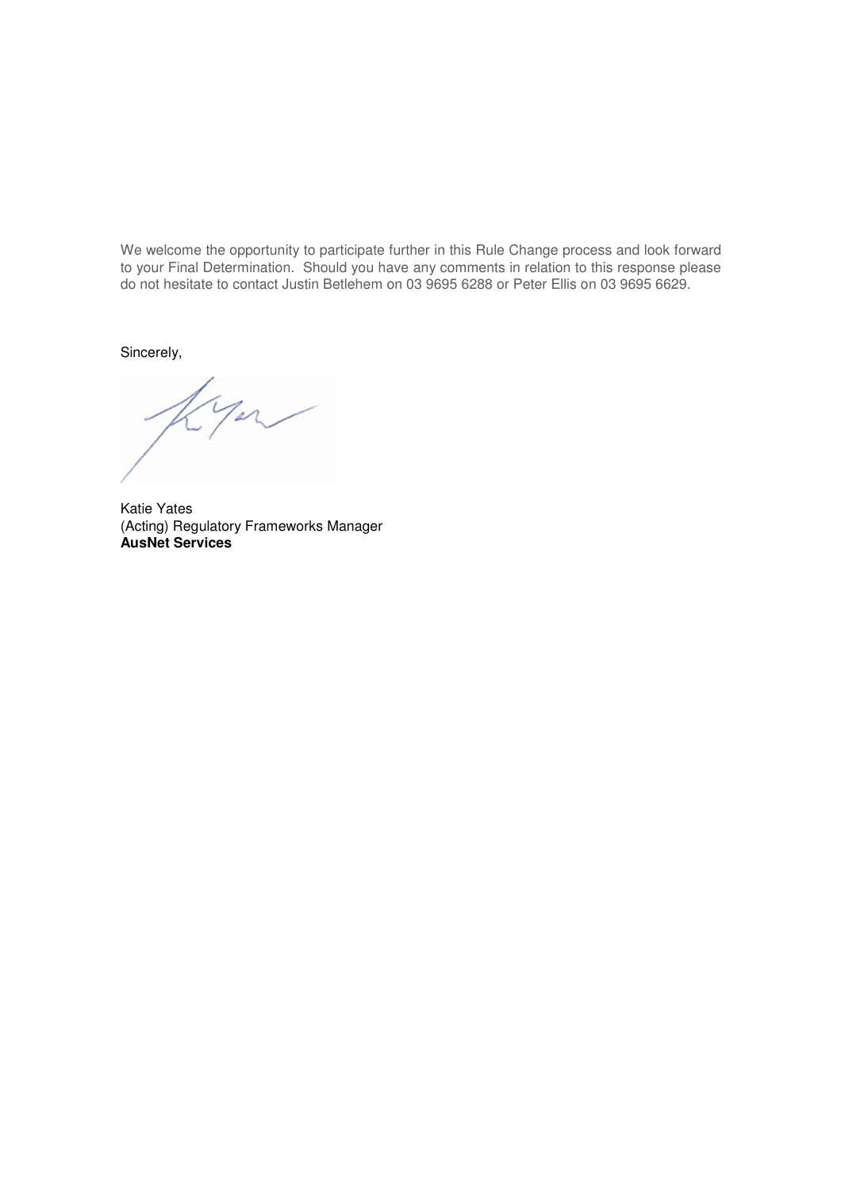We welcome the opportunity to participate further in this Rule Change process and look forward to your Final Determination. Should you have any comments in relation to this response please do not hesitate to contact Justin Betlehem on 03 9695 6288 or Peter Ellis on 03 9695 6629.

Sincerely,

Katie Yates (Acting) Regulatory Frameworks Manager **AusNet Services**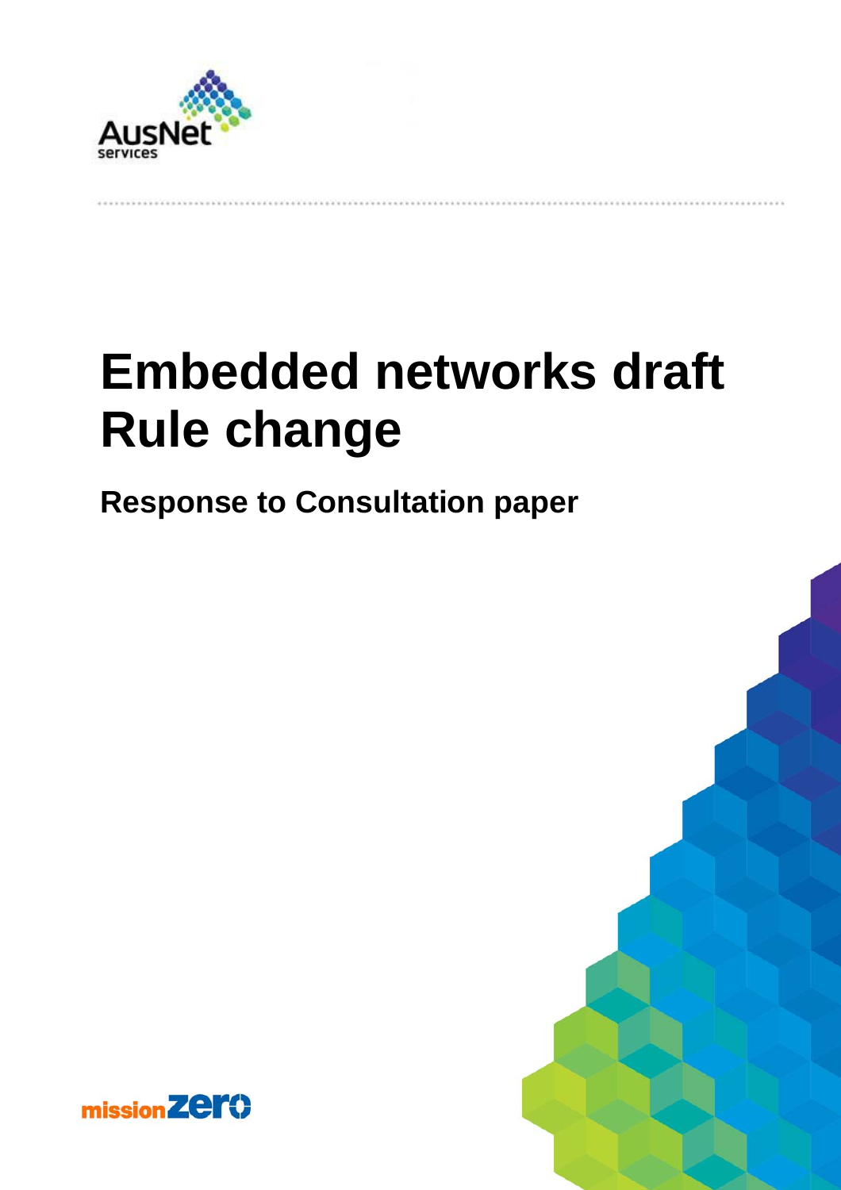

# **Embedded networks draft Rule change**

# **Response to Consultation paper**



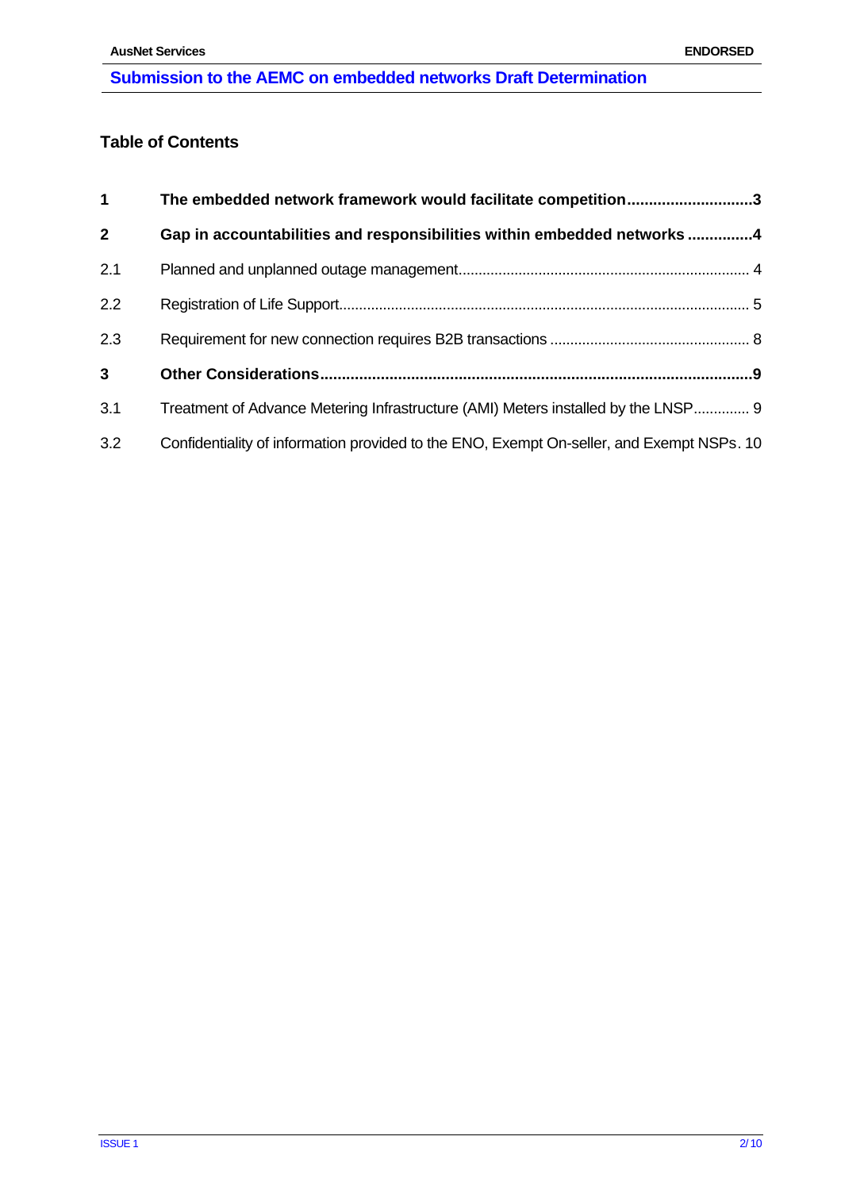# **Table of Contents**

| $\mathbf{1}$   | The embedded network framework would facilitate competition3                              |  |
|----------------|-------------------------------------------------------------------------------------------|--|
| $\overline{2}$ | Gap in accountabilities and responsibilities within embedded networks 4                   |  |
| 2.1            |                                                                                           |  |
| 2.2            |                                                                                           |  |
| 2.3            |                                                                                           |  |
| $\mathbf{3}$   |                                                                                           |  |
| 3.1            | Treatment of Advance Metering Infrastructure (AMI) Meters installed by the LNSP 9         |  |
| 3.2            | Confidentiality of information provided to the ENO, Exempt On-seller, and Exempt NSPs. 10 |  |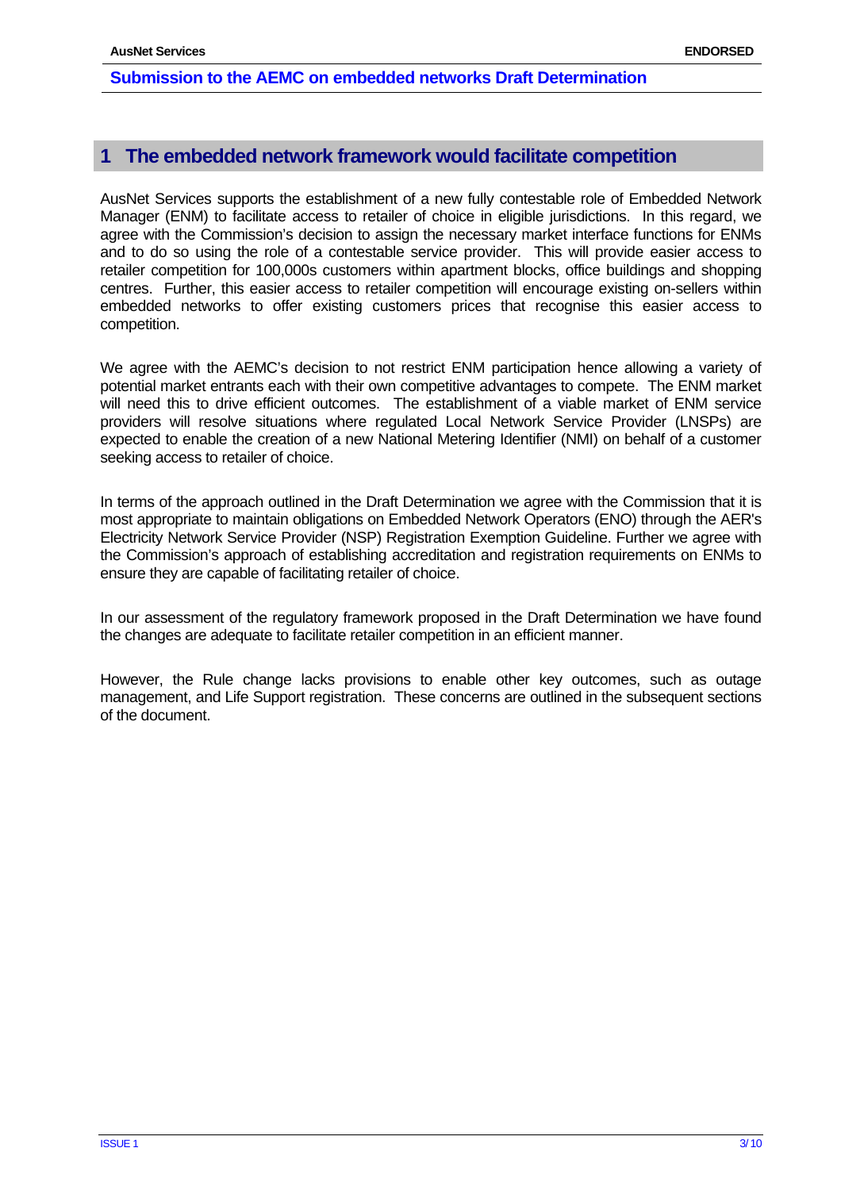# **1 The embedded network framework would facilitate competition**

AusNet Services supports the establishment of a new fully contestable role of Embedded Network Manager (ENM) to facilitate access to retailer of choice in eligible jurisdictions. In this regard, we agree with the Commission's decision to assign the necessary market interface functions for ENMs and to do so using the role of a contestable service provider. This will provide easier access to retailer competition for 100,000s customers within apartment blocks, office buildings and shopping centres. Further, this easier access to retailer competition will encourage existing on-sellers within embedded networks to offer existing customers prices that recognise this easier access to competition.

We agree with the AEMC's decision to not restrict ENM participation hence allowing a variety of potential market entrants each with their own competitive advantages to compete. The ENM market will need this to drive efficient outcomes. The establishment of a viable market of ENM service providers will resolve situations where regulated Local Network Service Provider (LNSPs) are expected to enable the creation of a new National Metering Identifier (NMI) on behalf of a customer seeking access to retailer of choice.

In terms of the approach outlined in the Draft Determination we agree with the Commission that it is most appropriate to maintain obligations on Embedded Network Operators (ENO) through the AER's Electricity Network Service Provider (NSP) Registration Exemption Guideline. Further we agree with the Commission's approach of establishing accreditation and registration requirements on ENMs to ensure they are capable of facilitating retailer of choice.

In our assessment of the regulatory framework proposed in the Draft Determination we have found the changes are adequate to facilitate retailer competition in an efficient manner.

However, the Rule change lacks provisions to enable other key outcomes, such as outage management, and Life Support registration. These concerns are outlined in the subsequent sections of the document.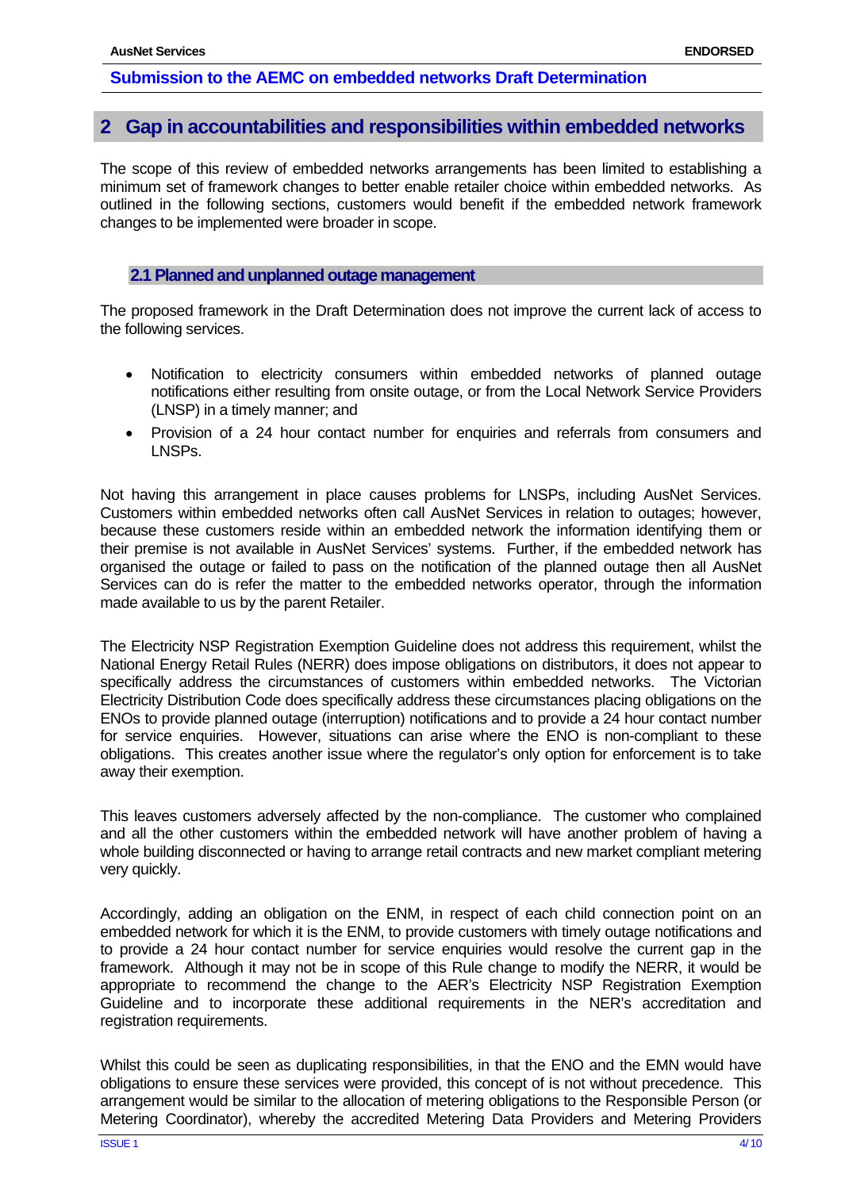# **2 Gap in accountabilities and responsibilities within embedded networks**

The scope of this review of embedded networks arrangements has been limited to establishing a minimum set of framework changes to better enable retailer choice within embedded networks. As outlined in the following sections, customers would benefit if the embedded network framework changes to be implemented were broader in scope.

# **2.1 Planned and unplanned outage management**

The proposed framework in the Draft Determination does not improve the current lack of access to the following services.

- Notification to electricity consumers within embedded networks of planned outage notifications either resulting from onsite outage, or from the Local Network Service Providers (LNSP) in a timely manner; and
- Provision of a 24 hour contact number for enquiries and referrals from consumers and LNSPs.

Not having this arrangement in place causes problems for LNSPs, including AusNet Services. Customers within embedded networks often call AusNet Services in relation to outages; however, because these customers reside within an embedded network the information identifying them or their premise is not available in AusNet Services' systems. Further, if the embedded network has organised the outage or failed to pass on the notification of the planned outage then all AusNet Services can do is refer the matter to the embedded networks operator, through the information made available to us by the parent Retailer.

The Electricity NSP Registration Exemption Guideline does not address this requirement, whilst the National Energy Retail Rules (NERR) does impose obligations on distributors, it does not appear to specifically address the circumstances of customers within embedded networks. The Victorian Electricity Distribution Code does specifically address these circumstances placing obligations on the ENOs to provide planned outage (interruption) notifications and to provide a 24 hour contact number for service enquiries. However, situations can arise where the ENO is non-compliant to these obligations. This creates another issue where the regulator's only option for enforcement is to take away their exemption.

This leaves customers adversely affected by the non-compliance. The customer who complained and all the other customers within the embedded network will have another problem of having a whole building disconnected or having to arrange retail contracts and new market compliant metering very quickly.

Accordingly, adding an obligation on the ENM, in respect of each child connection point on an embedded network for which it is the ENM, to provide customers with timely outage notifications and to provide a 24 hour contact number for service enquiries would resolve the current gap in the framework. Although it may not be in scope of this Rule change to modify the NERR, it would be appropriate to recommend the change to the AER's Electricity NSP Registration Exemption Guideline and to incorporate these additional requirements in the NER's accreditation and registration requirements.

Whilst this could be seen as duplicating responsibilities, in that the ENO and the EMN would have obligations to ensure these services were provided, this concept of is not without precedence. This arrangement would be similar to the allocation of metering obligations to the Responsible Person (or Metering Coordinator), whereby the accredited Metering Data Providers and Metering Providers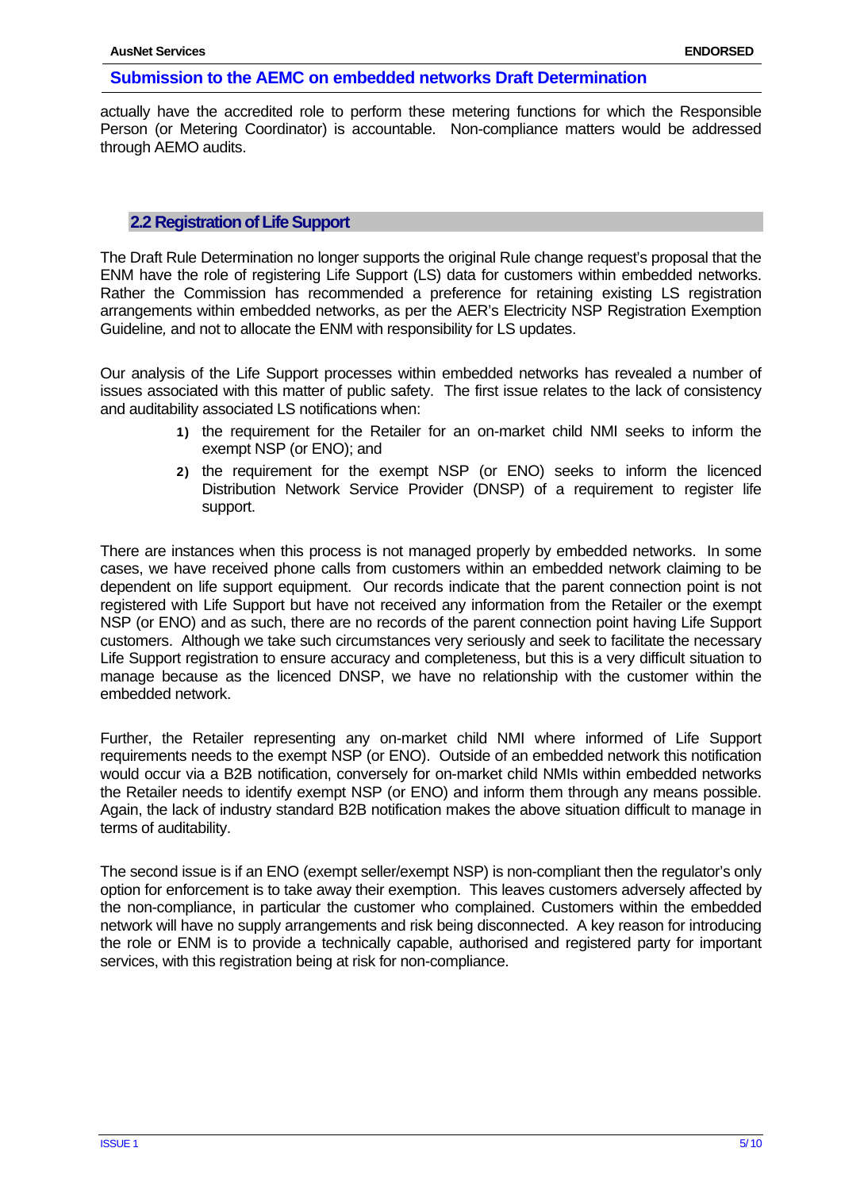actually have the accredited role to perform these metering functions for which the Responsible Person (or Metering Coordinator) is accountable. Non-compliance matters would be addressed through AEMO audits.

#### **2.2Registration of Life Support**

The Draft Rule Determination no longer supports the original Rule change request's proposal that the ENM have the role of registering Life Support (LS) data for customers within embedded networks. Rather the Commission has recommended a preference for retaining existing LS registration arrangements within embedded networks, as per the AER's Electricity NSP Registration Exemption Guideline*,* and not to allocate the ENM with responsibility for LS updates.

Our analysis of the Life Support processes within embedded networks has revealed a number of issues associated with this matter of public safety. The first issue relates to the lack of consistency and auditability associated LS notifications when:

- 1) the requirement for the Retailer for an on-market child NMI seeks to inform the exempt NSP (or ENO); and
- 2) the requirement for the exempt NSP (or ENO) seeks to inform the licenced Distribution Network Service Provider (DNSP) of a requirement to register life support.

There are instances when this process is not managed properly by embedded networks. In some cases, we have received phone calls from customers within an embedded network claiming to be dependent on life support equipment. Our records indicate that the parent connection point is not registered with Life Support but have not received any information from the Retailer or the exempt NSP (or ENO) and as such, there are no records of the parent connection point having Life Support customers. Although we take such circumstances very seriously and seek to facilitate the necessary Life Support registration to ensure accuracy and completeness, but this is a very difficult situation to manage because as the licenced DNSP, we have no relationship with the customer within the embedded network.

Further, the Retailer representing any on-market child NMI where informed of Life Support requirements needs to the exempt NSP (or ENO). Outside of an embedded network this notification would occur via a B2B notification, conversely for on-market child NMIs within embedded networks the Retailer needs to identify exempt NSP (or ENO) and inform them through any means possible. Again, the lack of industry standard B2B notification makes the above situation difficult to manage in terms of auditability.

The second issue is if an ENO (exempt seller/exempt NSP) is non-compliant then the regulator's only option for enforcement is to take away their exemption. This leaves customers adversely affected by the non-compliance, in particular the customer who complained. Customers within the embedded network will have no supply arrangements and risk being disconnected. A key reason for introducing the role or ENM is to provide a technically capable, authorised and registered party for important services, with this registration being at risk for non-compliance.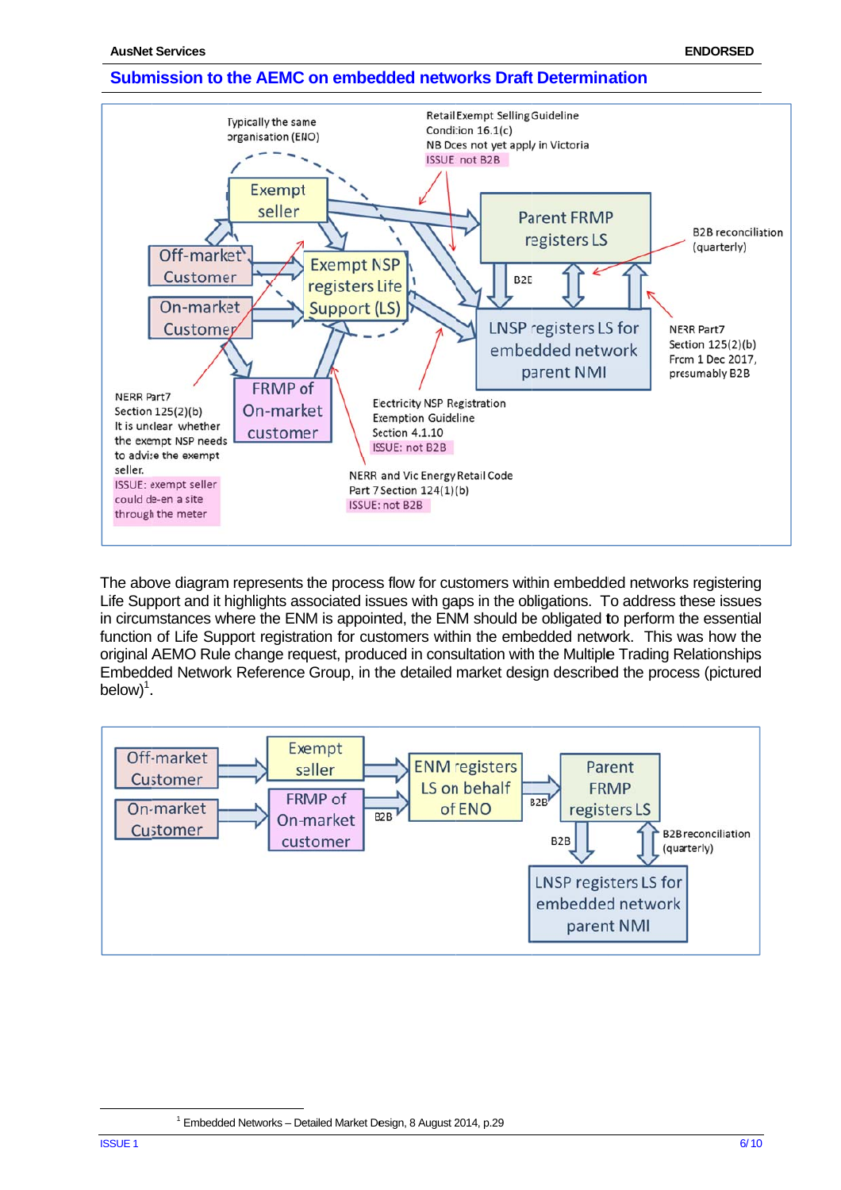

The above diagram represents the process flow for customers within embedded networks registering Life Support and it highlights associated issues with gaps in the obligations. To address these issues in circumstances where the ENM is appointed, the ENM should be obligated to perform the essential function of Life Support registration for customers within the embedded network. This was how the original AEMO Rule change request, produced in consultation with the Multiple Trading Relationships Embedded Network Reference Group, in the detailed market design described the process (pictured  $below)^1$ .



<sup>&</sup>lt;sup>1</sup> Embedded Networks - Detailed Market Design, 8 August 2014, p.29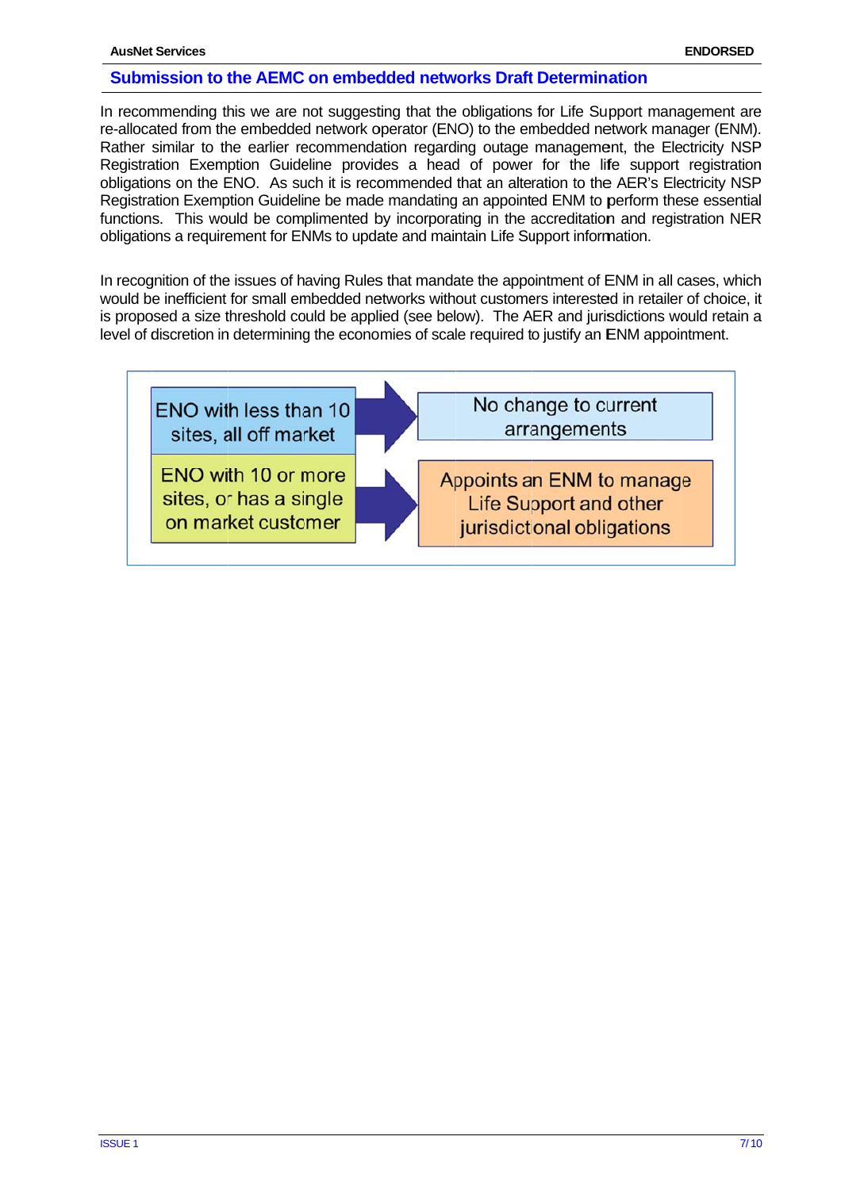In recommending this we are not suggesting that the obligations for Life Support management are re-allocated from the embedded network operator (ENO) to the embedded network manager (ENM). Rather similar to the earlier recommendation regarding outage management, the Electricity NSP Registration Exemption Guideline provides a head of power for the life support registration obligations on the ENO. As such it is recommended that an alteration to the AER's Electricity NSP Registration Exemption Guideline be made mandating an appointed ENM to perform these essential functions. This would be complimented by incorporating in the accreditation and registration NER obligations a requirement for ENMs to update and maintain Life Support information.

In recognition of the issues of having Rules that mandate the appointment of ENM in all cases, which would be inefficient for small embedded networks without customers interested in retailer of choice, it is proposed a size threshold could be applied (see below). The AER and jurisdictions would retain a level of discretion in determining the economies of scale required to justify an ENM appointment.

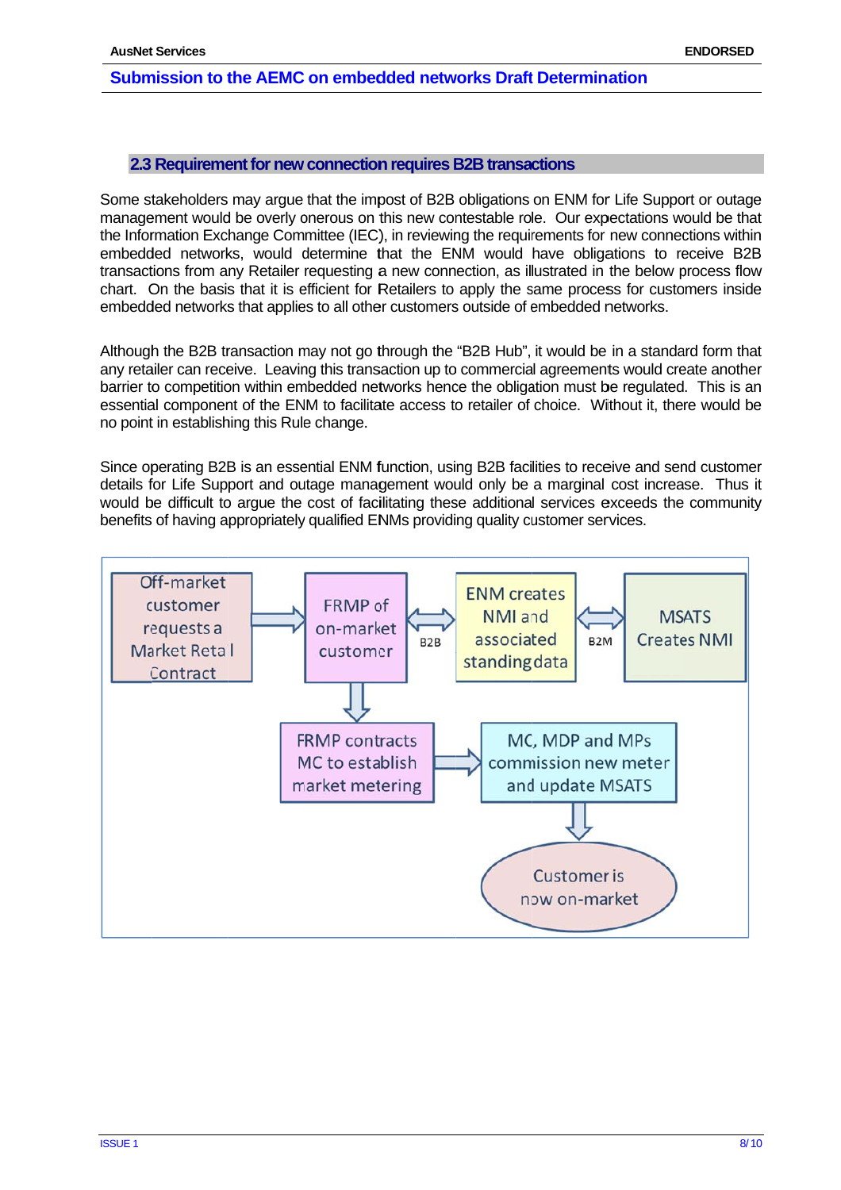## 2.3 Requirement for new connection requires B2B transactions

Some stakeholders may argue that the impost of B2B obligations on ENM for Life Support or outage management would be overly onerous on this new contestable role. Our expectations would be that the Information Exchange Committee (IEC), in reviewing the requirements for new connections within embedded networks, would determine that the ENM would have obligations to receive B2B transactions from any Retailer requesting a new connection, as illustrated in the below process flow chart. On the basis that it is efficient for Retailers to apply the same process for customers inside embedded networks that applies to all other customers outside of embedded networks.

Although the B2B transaction may not go through the "B2B Hub", it would be in a standard form that any retailer can receive. Leaving this transaction up to commercial agreements would create another barrier to competition within embedded networks hence the obligation must be regulated. This is an essential component of the ENM to facilitate access to retailer of choice. Without it, there would be no point in establishing this Rule change.

Since operating B2B is an essential ENM function, using B2B facilities to receive and send customer details for Life Support and outage management would only be a marginal cost increase. Thus it would be difficult to argue the cost of facilitating these additional services exceeds the community benefits of having appropriately qualified ENMs providing quality customer services.

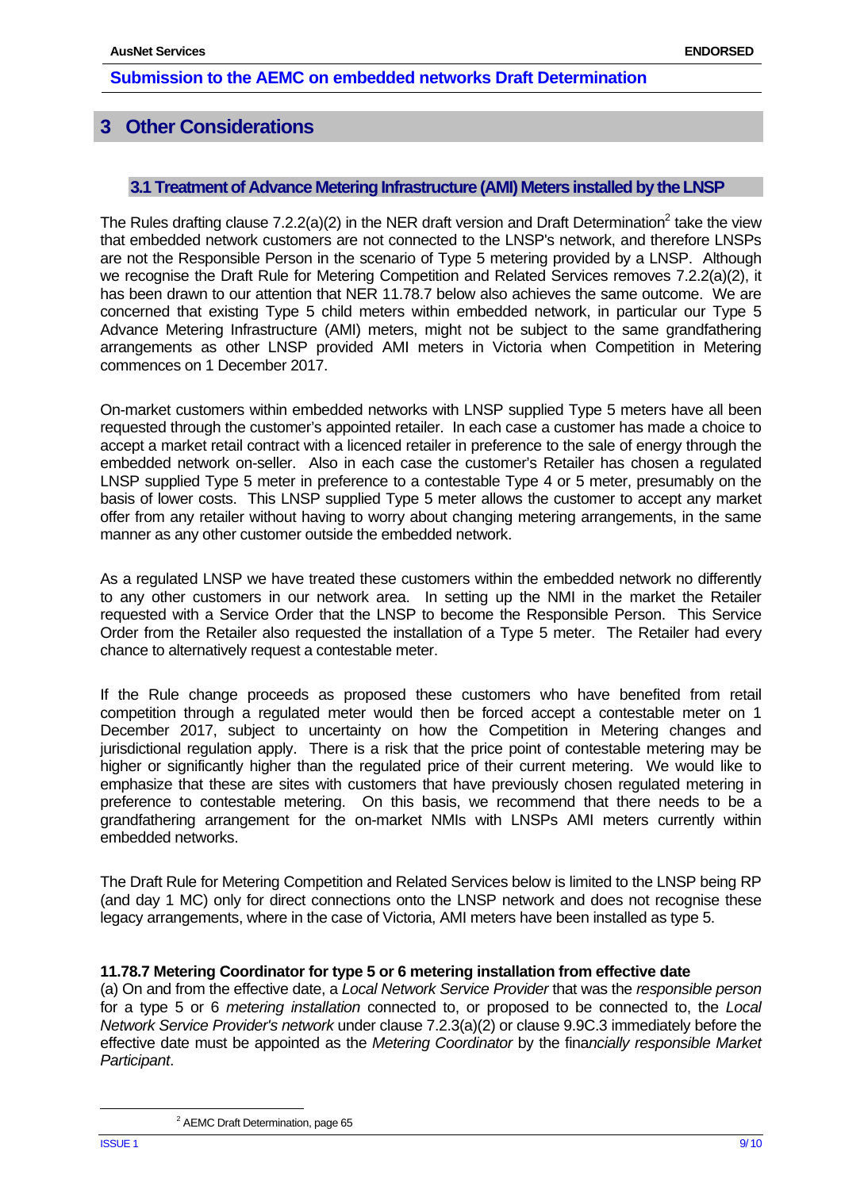# **3 Other Considerations**

## **3.1Treatment of Advance Metering Infrastructure (AMI) Meters installed by the LNSP**

The Rules drafting clause 7.2.2(a)(2) in the NER draft version and Draft Determination<sup>2</sup> take the view that embedded network customers are not connected to the LNSP's network, and therefore LNSPs are not the Responsible Person in the scenario of Type 5 metering provided by a LNSP. Although we recognise the Draft Rule for Metering Competition and Related Services removes 7.2.2(a)(2), it has been drawn to our attention that NER 11.78.7 below also achieves the same outcome. We are concerned that existing Type 5 child meters within embedded network, in particular our Type 5 Advance Metering Infrastructure (AMI) meters, might not be subject to the same grandfathering arrangements as other LNSP provided AMI meters in Victoria when Competition in Metering commences on 1 December 2017.

On-market customers within embedded networks with LNSP supplied Type 5 meters have all been requested through the customer's appointed retailer. In each case a customer has made a choice to accept a market retail contract with a licenced retailer in preference to the sale of energy through the embedded network on-seller. Also in each case the customer's Retailer has chosen a regulated LNSP supplied Type 5 meter in preference to a contestable Type 4 or 5 meter, presumably on the basis of lower costs. This LNSP supplied Type 5 meter allows the customer to accept any market offer from any retailer without having to worry about changing metering arrangements, in the same manner as any other customer outside the embedded network.

As a regulated LNSP we have treated these customers within the embedded network no differently to any other customers in our network area. In setting up the NMI in the market the Retailer requested with a Service Order that the LNSP to become the Responsible Person. This Service Order from the Retailer also requested the installation of a Type 5 meter. The Retailer had every chance to alternatively request a contestable meter.

If the Rule change proceeds as proposed these customers who have benefited from retail competition through a regulated meter would then be forced accept a contestable meter on 1 December 2017, subject to uncertainty on how the Competition in Metering changes and jurisdictional regulation apply. There is a risk that the price point of contestable metering may be higher or significantly higher than the regulated price of their current metering. We would like to emphasize that these are sites with customers that have previously chosen regulated metering in preference to contestable metering. On this basis, we recommend that there needs to be a grandfathering arrangement for the on-market NMIs with LNSPs AMI meters currently within embedded networks.

The Draft Rule for Metering Competition and Related Services below is limited to the LNSP being RP (and day 1 MC) only for direct connections onto the LNSP network and does not recognise these legacy arrangements, where in the case of Victoria, AMI meters have been installed as type 5.

#### **11.78.7 Metering Coordinator for type 5 or 6 metering installation from effective date**

(a) On and from the effective date, a *Local Network Service Provider* that was the *responsible person* for a type 5 or 6 *metering installation* connected to, or proposed to be connected to, the *Local Network Service Provider's network* under clause 7.2.3(a)(2) or clause 9.9C.3 immediately before the effective date must be appointed as the *Metering Coordinator* by the fina*ncially responsible Market Participant*.

 <sup>2</sup> <sup>2</sup> AEMC Draft Determination, page 65